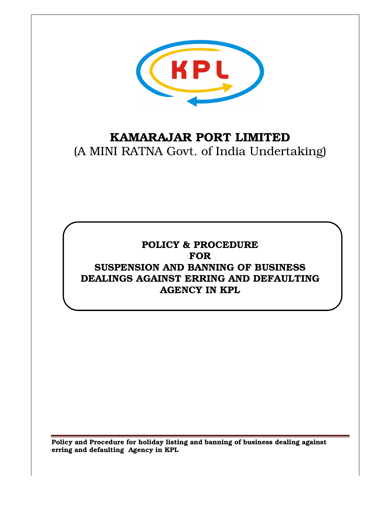

# KAMARAJAR PORT LIMITED (A MINI RATNA Govt. of India Undertaking)

## POLICY & PROCEDURE FOR SUSPENSION AND BANNING OF BUSINESS DEALINGS AGAINST ERRING AND DEFAULTING AGENCY IN KPL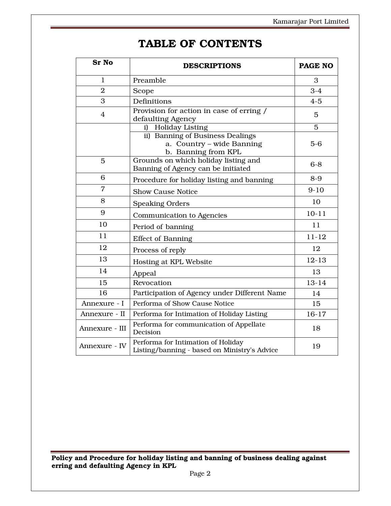## TABLE OF CONTENTS

| <b>Sr No</b>   | <b>DESCRIPTIONS</b>                                                                  | <b>PAGE NO</b> |
|----------------|--------------------------------------------------------------------------------------|----------------|
| $\mathbf{1}$   | Preamble                                                                             | 3              |
| $\overline{2}$ | Scope                                                                                | $3-4$          |
| 3              | Definitions                                                                          | $4 - 5$        |
| $\overline{4}$ | Provision for action in case of erring /<br>defaulting Agency                        | 5              |
|                | <b>Holiday Listing</b><br>i)                                                         | 5              |
|                | ii) Banning of Business Dealings<br>a. Country - wide Banning<br>b. Banning from KPL | $5-6$          |
| 5              | Grounds on which holiday listing and<br>Banning of Agency can be initiated           | $6 - 8$        |
| 6              | Procedure for holiday listing and banning                                            | $8-9$          |
| $\overline{7}$ | <b>Show Cause Notice</b>                                                             | $9-10$         |
| 8              | <b>Speaking Orders</b>                                                               | 10             |
| 9              | Communication to Agencies                                                            | $10 - 11$      |
| 10             | Period of banning                                                                    | 11             |
| 11             | <b>Effect of Banning</b>                                                             | $11 - 12$      |
| 12             | Process of reply                                                                     | 12             |
| 13             | Hosting at KPL Website                                                               | $12 - 13$      |
| 14             | Appeal                                                                               | 13             |
| 15             | Revocation                                                                           | $13 - 14$      |
| 16             | Participation of Agency under Different Name                                         | 14             |
| Annexure - I   | Performa of Show Cause Notice                                                        | 15             |
| Annexure - II  | Performa for Intimation of Holiday Listing                                           | $16-17$        |
| Annexure - III | Performa for communication of Appellate<br>Decision                                  | 18             |
| Annexure - IV  | Performa for Intimation of Holiday<br>Listing/banning - based on Ministry's Advice   | 19             |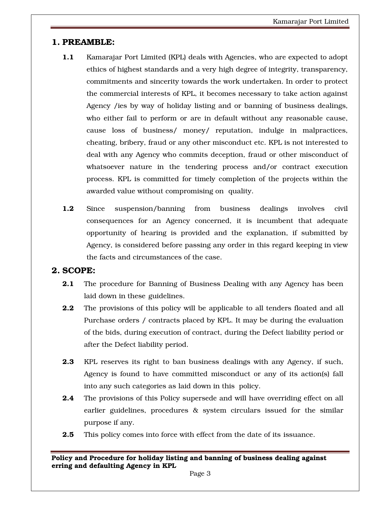## 1. PREAMBLE:

- 1.1 Kamarajar Port Limited (KPL) deals with Agencies, who are expected to adopt ethics of highest standards and a very high degree of integrity, transparency, commitments and sincerity towards the work undertaken. In order to protect the commercial interests of KPL, it becomes necessary to take action against Agency /ies by way of holiday listing and or banning of business dealings, who either fail to perform or are in default without any reasonable cause, cause loss of business/ money/ reputation, indulge in malpractices, cheating, bribery, fraud or any other misconduct etc. KPL is not interested to deal with any Agency who commits deception, fraud or other misconduct of whatsoever nature in the tendering process and/or contract execution process. KPL is committed for timely completion of the projects within the awarded value without compromising on quality.
- 1.2 Since suspension/banning from business dealings involves civil consequences for an Agency concerned, it is incumbent that adequate opportunity of hearing is provided and the explanation, if submitted by Agency, is considered before passing any order in this regard keeping in view the facts and circumstances of the case.

## 2. SCOPE:

- **2.1** The procedure for Banning of Business Dealing with any Agency has been laid down in these guidelines.
- **2.2** The provisions of this policy will be applicable to all tenders floated and all Purchase orders / contracts placed by KPL. It may be during the evaluation of the bids, during execution of contract, during the Defect liability period or after the Defect liability period.
- 2.3 KPL reserves its right to ban business dealings with any Agency, if such, Agency is found to have committed misconduct or any of its action(s) fall into any such categories as laid down in this policy.
- **2.4** The provisions of this Policy supersede and will have overriding effect on all earlier guidelines, procedures & system circulars issued for the similar purpose if any.
- **2.5** This policy comes into force with effect from the date of its issuance.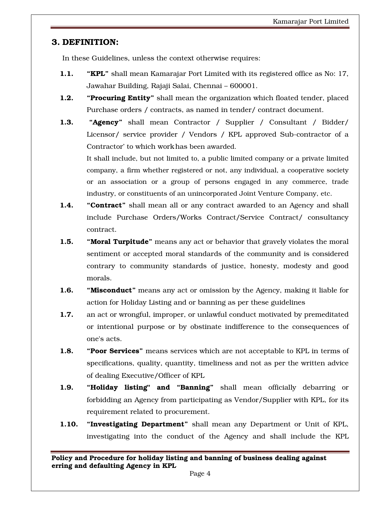## 3. DEFINITION:

In these Guidelines, unless the context otherwise requires:

- 1.1. "KPL" shall mean Kamarajar Port Limited with its registered office as No: 17, Jawahar Building, Rajaji Salai, Chennai – 600001.
- **1.2.** "Procuring Entity" shall mean the organization which floated tender, placed Purchase orders / contracts, as named in tender/ contract document.
- **1.3.** "Agency" shall mean Contractor / Supplier / Consultant / Bidder/ Licensor/ service provider / Vendors / KPL approved Sub-contractor of a Contractor' to which work has been awarded.

It shall include, but not limited to, a public limited company or a private limited company, a firm whether registered or not, any individual, a cooperative society or an association or a group of persons engaged in any commerce, trade industry, or constituents of an unincorporated Joint Venture Company, etc.

- **1.4.** "**Contract**" shall mean all or any contract awarded to an Agency and shall include Purchase Orders/Works Contract/Service Contract/ consultancy contract.
- **1.5.** "Moral Turpitude" means any act or behavior that gravely violates the moral sentiment or accepted moral standards of the community and is considered contrary to community standards of justice, honesty, modesty and good morals.
- **1.6.** "Misconduct" means any act or omission by the Agency, making it liable for action for Holiday Listing and or banning as per these guidelines
- 1.7. an act or wrongful, improper, or unlawful conduct motivated by premeditated or intentional purpose or by obstinate indifference to the consequences of one's acts.
- 1.8. "Poor Services" means services which are not acceptable to KPL in terms of specifications, quality, quantity, timeliness and not as per the written advice of dealing Executive/Officer of KPL
- 1.9. "Holiday listing" and "Banning" shall mean officially debarring or forbidding an Agency from participating as Vendor/Supplier with KPL, for its requirement related to procurement.
- 1.10. "Investigating Department" shall mean any Department or Unit of KPL, investigating into the conduct of the Agency and shall include the KPL

Policy and Procedure for holiday listing and banning of business dealing against erring and defaulting Agency in KPL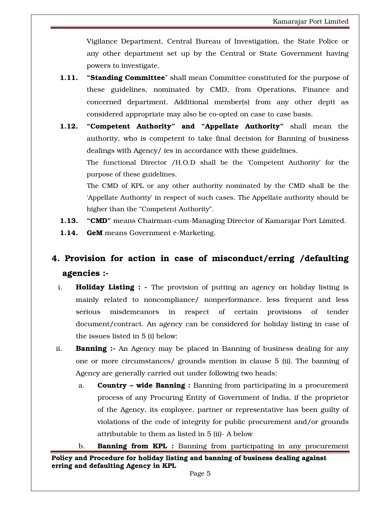Vigilance Department, Central Bureau of Investigation, the State Police or any other department set up by the Central or State Government having powers to investigate.

- **1.11.** "Standing Committee" shall mean Committee constituted for the purpose of these guidelines, nominated by CMD, from Operations, Finance and concerned department. Additional member(s) from any other deptt as considered appropriate may also be co-opted on case to case basis.
- 1.12. "Competent Authority" and "Appellate Authority" shall mean the authority, who is competent to take final decision for Banning of business dealings with Agency/ ies in accordance with these guidelines. The functional Director /H.O.D shall be the 'Competent Authority' for the

purpose of these guidelines.

The CMD of KPL or any other authority nominated by the CMD shall be the 'Appellate Authority' in respect of such cases. The Appellate authority should be higher than the "Competent Authority".

- 1.13. "CMD" means Chairman-cum-Managing Director of Kamarajar Port Limited.
- 1.14. GeM means Government e-Marketing.

## 4. Provision for action in case of misconduct/erring /defaulting agencies :-

- i. **Holiday Listing :** The provision of putting an agency on holiday listing is mainly related to noncompliance/ nonperformance, less frequent and less serious misdemeanors in respect of certain provisions of tender document/contract. An agency can be considered for holiday listing in case of the issues listed in 5 (i) below:
- ii. **Banning :-** An Agency may be placed in Banning of business dealing for any one or more circumstances/ grounds mention in clause 5 (ii). The banning of Agency are generally carried out under following two heads:
	- a. **Country wide Banning :** Banning from participating in a procurement process of any Procuring Entity of Government of India, if the proprietor of the Agency, its employee, partner or representative has been guilty of violations of the code of integrity for public procurement and/or grounds attributable to them as listed in 5 (ii)- A below
- Policy and Procedure for holiday listing and banning of business dealing against erring and defaulting Agency in KPL b. **Banning from KPL** : Banning from participating in any procurement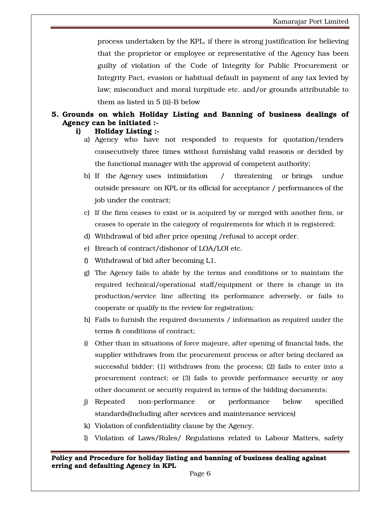process undertaken by the KPL, if there is strong justification for believing that the proprietor or employee or representative of the Agency has been guilty of violation of the Code of Integrity for Public Procurement or Integrity Pact, evasion or habitual default in payment of any tax levied by law; misconduct and moral turpitude etc. and/or grounds attributable to them as listed in 5 (ii)-B below

## 5. Grounds on which Holiday Listing and Banning of business dealings of Agency can be initiated :-

#### i) Holiday Listing :-

- a) Agency who have not responded to requests for quotation/tenders consecutively three times without furnishing valid reasons or decided by the functional manager with the approval of competent authority;
- b) If the Agency uses intimidation / threatening or brings undue outside pressure on KPL or its official for acceptance / performances of the job under the contract;
- c) If the firm ceases to exist or is acquired by or merged with another firm, or ceases to operate in the category of requirements for which it is registered;
- d) Withdrawal of bid after price opening /refusal to accept order.
- e) Breach of contract/dishonor of LOA/LOI etc.
- f) Withdrawal of bid after becoming L1.
- g) The Agency fails to abide by the terms and conditions or to maintain the required technical/operational staff/equipment or there is change in its production/service line affecting its performance adversely, or fails to cooperate or qualify in the review for registration;
- h) Fails to furnish the required documents / information as required under the terms & conditions of contract;
- i) Other than in situations of force majeure, after opening of financial bids, the supplier withdraws from the procurement process or after being declared as successful bidder: (1) withdraws from the process; (2) fails to enter into a procurement contract; or (3) fails to provide performance security or any other document or security required in terms of the bidding documents;
- j) Repeated non-performance or performance below specified standards(Including after services and maintenance services)
- k) Violation of confidentiality clause by the Agency.
- l) Violation of Laws/Rules/ Regulations related to Labour Matters, safety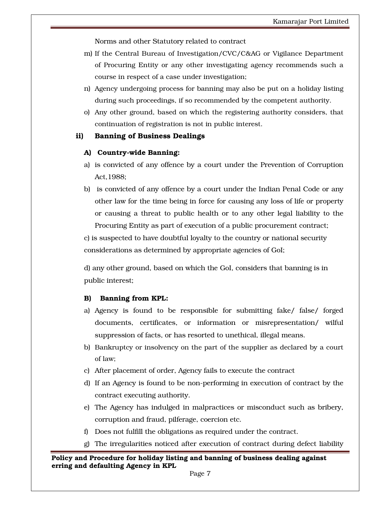Norms and other Statutory related to contract

- m) If the Central Bureau of Investigation/CVC/C&AG or Vigilance Department of Procuring Entity or any other investigating agency recommends such a course in respect of a case under investigation;
- n) Agency undergoing process for banning may also be put on a holiday listing during such proceedings, if so recommended by the competent authority.
- o) Any other ground, based on which the registering authority considers, that continuation of registration is not in public interest.

#### ii) Banning of Business Dealings

#### A) Country-wide Banning:

- a) is convicted of any offence by a court under the Prevention of Corruption Act,1988;
- b) is convicted of any offence by a court under the Indian Penal Code or any other law for the time being in force for causing any loss of life or property or causing a threat to public health or to any other legal liability to the Procuring Entity as part of execution of a public procurement contract;

c) is suspected to have doubtful loyalty to the country or national security considerations as determined by appropriate agencies of GoI;

d) any other ground, based on which the GoI, considers that banning is in public interest;

## B) Banning from KPL:

- a) Agency is found to be responsible for submitting fake/ false/ forged documents, certificates, or information or misrepresentation/ wilful suppression of facts, or has resorted to unethical, illegal means.
- b) Bankruptcy or insolvency on the part of the supplier as declared by a court of law;
- c) After placement of order, Agency fails to execute the contract
- d) If an Agency is found to be non-performing in execution of contract by the contract executing authority.
- e) The Agency has indulged in malpractices or misconduct such as bribery, corruption and fraud, pilferage, coercion etc.
- f) Does not fulfill the obligations as required under the contract.
- g) The irregularities noticed after execution of contract during defect liability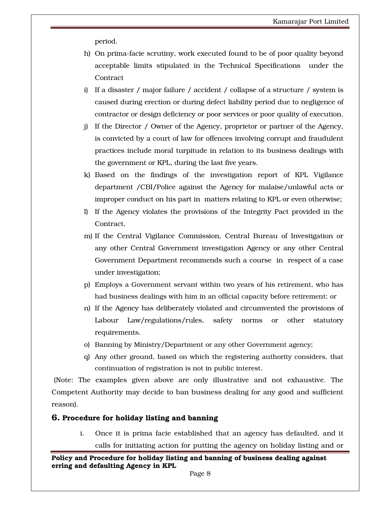period.

- h) On prima-facie scrutiny, work executed found to be of poor quality beyond acceptable limits stipulated in the Technical Specifications under the **Contract**
- i) If a disaster / major failure / accident / collapse of a structure / system is caused during erection or during defect liability period due to negligence of contractor or design deficiency or poor services or poor quality of execution.
- j) If the Director / Owner of the Agency, proprietor or partner of the Agency, is convicted by a court of law for offences involving corrupt and fraudulent practices include moral turpitude in relation to its business dealings with the government or KPL, during the last five years.
- k) Based on the findings of the investigation report of KPL Vigilance department /CBI/Police against the Agency for malaise/unlawful acts or improper conduct on his part in matters relating to KPL or even otherwise;
- l) If the Agency violates the provisions of the Integrity Pact provided in the Contract.
- m) If the Central Vigilance Commission, Central Bureau of Investigation or any other Central Government investigation Agency or any other Central Government Department recommends such a course in respect of a case under investigation;
- p) Employs a Government servant within two years of his retirement, who has had business dealings with him in an official capacity before retirement; or
- n) If the Agency has deliberately violated and circumvented the provisions of Labour Law/regulations/rules, safety norms or other statutory requirements.
- o) Banning by Ministry/Department or any other Government agency;
- q) Any other ground, based on which the registering authority considers, that continuation of registration is not in public interest.

 (Note: The examples given above are only illustrative and not exhaustive. The Competent Authority may decide to ban business dealing for any good and sufficient reason).

#### 6. Procedure for holiday listing and banning

i. Once it is prima facie established that an agency has defaulted, and it calls for initiating action for putting the agency on holiday listing and or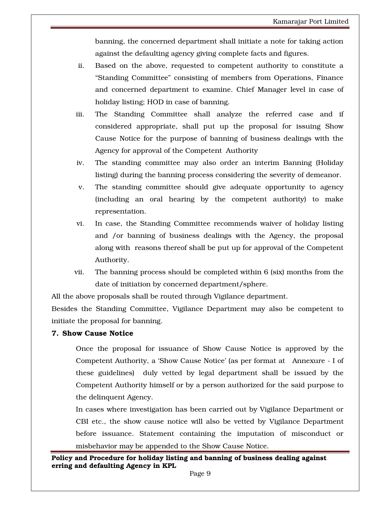banning, the concerned department shall initiate a note for taking action against the defaulting agency giving complete facts and figures.

- ii. Based on the above, requested to competent authority to constitute a "Standing Committee" consisting of members from Operations, Finance and concerned department to examine. Chief Manager level in case of holiday listing; HOD in case of banning.
- iii. The Standing Committee shall analyze the referred case and if considered appropriate, shall put up the proposal for issuing Show Cause Notice for the purpose of banning of business dealings with the Agency for approval of the Competent Authority
- iv. The standing committee may also order an interim Banning (Holiday listing) during the banning process considering the severity of demeanor.
- v. The standing committee should give adequate opportunity to agency (including an oral hearing by the competent authority) to make representation.
- vi. In case, the Standing Committee recommends waiver of holiday listing and /or banning of business dealings with the Agency, the proposal along with reasons thereof shall be put up for approval of the Competent Authority.
- vii. The banning process should be completed within 6 (six) months from the date of initiation by concerned department/sphere.

All the above proposals shall be routed through Vigilance department.

Besides the Standing Committee, Vigilance Department may also be competent to initiate the proposal for banning.

## 7. Show Cause Notice

Once the proposal for issuance of Show Cause Notice is approved by the Competent Authority, a 'Show Cause Notice' (as per format at Annexure - I of these guidelines) duly vetted by legal department shall be issued by the Competent Authority himself or by a person authorized for the said purpose to the delinquent Agency.

In cases where investigation has been carried out by Vigilance Department or CBI etc., the show cause notice will also be vetted by Vigilance Department before issuance. Statement containing the imputation of misconduct or misbehavior may be appended to the Show Cause Notice.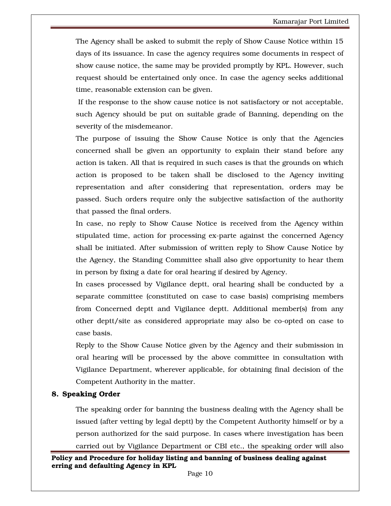The Agency shall be asked to submit the reply of Show Cause Notice within 15 days of its issuance. In case the agency requires some documents in respect of show cause notice, the same may be provided promptly by KPL. However, such request should be entertained only once. In case the agency seeks additional time, reasonable extension can be given.

 If the response to the show cause notice is not satisfactory or not acceptable, such Agency should be put on suitable grade of Banning, depending on the severity of the misdemeanor.

The purpose of issuing the Show Cause Notice is only that the Agencies concerned shall be given an opportunity to explain their stand before any action is taken. All that is required in such cases is that the grounds on which action is proposed to be taken shall be disclosed to the Agency inviting representation and after considering that representation, orders may be passed. Such orders require only the subjective satisfaction of the authority that passed the final orders.

In case, no reply to Show Cause Notice is received from the Agency within stipulated time, action for processing ex-parte against the concerned Agency shall be initiated. After submission of written reply to Show Cause Notice by the Agency, the Standing Committee shall also give opportunity to hear them in person by fixing a date for oral hearing if desired by Agency.

In cases processed by Vigilance deptt, oral hearing shall be conducted by a separate committee (constituted on case to case basis) comprising members from Concerned deptt and Vigilance deptt. Additional member(s) from any other deptt/site as considered appropriate may also be co-opted on case to case basis.

Reply to the Show Cause Notice given by the Agency and their submission in oral hearing will be processed by the above committee in consultation with Vigilance Department, wherever applicable, for obtaining final decision of the Competent Authority in the matter.

#### 8. Speaking Order

The speaking order for banning the business dealing with the Agency shall be issued (after vetting by legal deptt) by the Competent Authority himself or by a person authorized for the said purpose. In cases where investigation has been carried out by Vigilance Department or CBI etc., the speaking order will also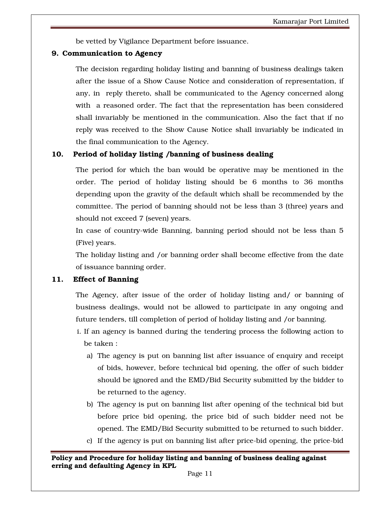be vetted by Vigilance Department before issuance.

#### 9. Communication to Agency

The decision regarding holiday listing and banning of business dealings taken after the issue of a Show Cause Notice and consideration of representation, if any, in reply thereto, shall be communicated to the Agency concerned along with a reasoned order. The fact that the representation has been considered shall invariably be mentioned in the communication. Also the fact that if no reply was received to the Show Cause Notice shall invariably be indicated in the final communication to the Agency.

#### 10. Period of holiday listing /banning of business dealing

The period for which the ban would be operative may be mentioned in the order. The period of holiday listing should be 6 months to 36 months depending upon the gravity of the default which shall be recommended by the committee. The period of banning should not be less than 3 (three) years and should not exceed 7 (seven) years.

In case of country-wide Banning, banning period should not be less than 5 (Five) years.

The holiday listing and /or banning order shall become effective from the date of issuance banning order.

#### 11. Effect of Banning

The Agency, after issue of the order of holiday listing and/ or banning of business dealings, would not be allowed to participate in any ongoing and future tenders, till completion of period of holiday listing and /or banning.

- i. If an agency is banned during the tendering process the following action to be taken :
	- a) The agency is put on banning list after issuance of enquiry and receipt of bids, however, before technical bid opening, the offer of such bidder should be ignored and the EMD/Bid Security submitted by the bidder to be returned to the agency.
	- b) The agency is put on banning list after opening of the technical bid but before price bid opening, the price bid of such bidder need not be opened. The EMD/Bid Security submitted to be returned to such bidder.
	- c) If the agency is put on banning list after price-bid opening, the price-bid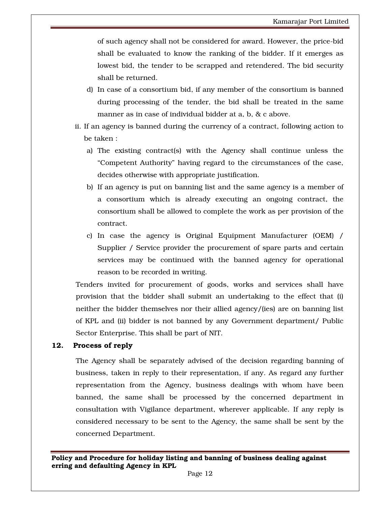of such agency shall not be considered for award. However, the price-bid shall be evaluated to know the ranking of the bidder. If it emerges as lowest bid, the tender to be scrapped and retendered. The bid security shall be returned.

- d) In case of a consortium bid, if any member of the consortium is banned during processing of the tender, the bid shall be treated in the same manner as in case of individual bidder at a, b, & c above.
- ii. If an agency is banned during the currency of a contract, following action to be taken :
	- a) The existing contract(s) with the Agency shall continue unless the "Competent Authority" having regard to the circumstances of the case, decides otherwise with appropriate justification.
	- b) If an agency is put on banning list and the same agency is a member of a consortium which is already executing an ongoing contract, the consortium shall be allowed to complete the work as per provision of the contract.
	- c) In case the agency is Original Equipment Manufacturer (OEM) / Supplier / Service provider the procurement of spare parts and certain services may be continued with the banned agency for operational reason to be recorded in writing.

Tenders invited for procurement of goods, works and services shall have provision that the bidder shall submit an undertaking to the effect that (i) neither the bidder themselves nor their allied agency/(ies) are on banning list of KPL and (ii) bidder is not banned by any Government department/ Public Sector Enterprise. This shall be part of NIT.

#### 12. Process of reply

The Agency shall be separately advised of the decision regarding banning of business, taken in reply to their representation, if any. As regard any further representation from the Agency, business dealings with whom have been banned, the same shall be processed by the concerned department in consultation with Vigilance department, wherever applicable. If any reply is considered necessary to be sent to the Agency, the same shall be sent by the concerned Department.

Policy and Procedure for holiday listing and banning of business dealing against erring and defaulting Agency in KPL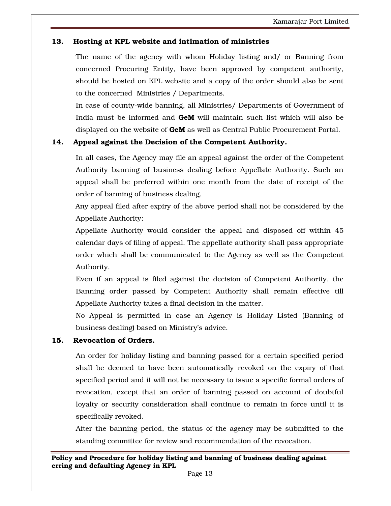## 13. Hosting at KPL website and intimation of ministries

The name of the agency with whom Holiday listing and/ or Banning from concerned Procuring Entity, have been approved by competent authority, should be hosted on KPL website and a copy of the order should also be sent to the concerned Ministries / Departments.

In case of county-wide banning, all Ministries/ Departments of Government of India must be informed and GeM will maintain such list which will also be displayed on the website of GeM as well as Central Public Procurement Portal.

## 14. Appeal against the Decision of the Competent Authority.

In all cases, the Agency may file an appeal against the order of the Competent Authority banning of business dealing before Appellate Authority. Such an appeal shall be preferred within one month from the date of receipt of the order of banning of business dealing.

Any appeal filed after expiry of the above period shall not be considered by the Appellate Authority;

Appellate Authority would consider the appeal and disposed off within 45 calendar days of filing of appeal. The appellate authority shall pass appropriate order which shall be communicated to the Agency as well as the Competent Authority.

Even if an appeal is filed against the decision of Competent Authority, the Banning order passed by Competent Authority shall remain effective till Appellate Authority takes a final decision in the matter.

No Appeal is permitted in case an Agency is Holiday Listed (Banning of business dealing) based on Ministry's advice.

## 15. Revocation of Orders.

An order for holiday listing and banning passed for a certain specified period shall be deemed to have been automatically revoked on the expiry of that specified period and it will not be necessary to issue a specific formal orders of revocation, except that an order of banning passed on account of doubtful loyalty or security consideration shall continue to remain in force until it is specifically revoked.

After the banning period, the status of the agency may be submitted to the standing committee for review and recommendation of the revocation.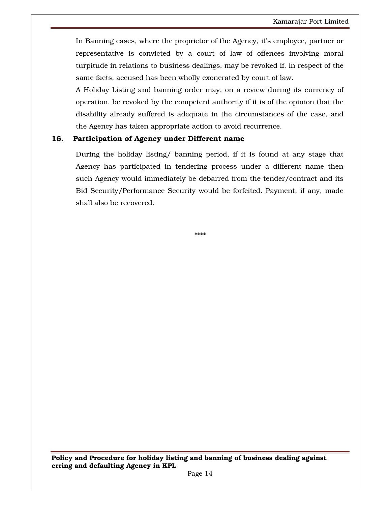In Banning cases, where the proprietor of the Agency, it's employee, partner or representative is convicted by a court of law of offences involving moral turpitude in relations to business dealings, may be revoked if, in respect of the same facts, accused has been wholly exonerated by court of law.

A Holiday Listing and banning order may, on a review during its currency of operation, be revoked by the competent authority if it is of the opinion that the disability already suffered is adequate in the circumstances of the case, and the Agency has taken appropriate action to avoid recurrence.

#### 16. Participation of Agency under Different name

During the holiday listing/ banning period, if it is found at any stage that Agency has participated in tendering process under a different name then such Agency would immediately be debarred from the tender/contract and its Bid Security/Performance Security would be forfeited. Payment, if any, made shall also be recovered.

\*\*\*\*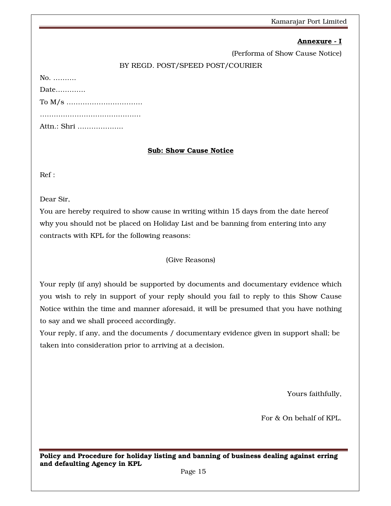## Annexure - I

(Performa of Show Cause Notice)

## BY REGD. POST/SPEED POST/COURIER

No. ……….

Date………….

To M/s …………………………… ………………………………………………

Attn.: Shri ………………..

## Sub: Show Cause Notice

Ref :

Dear Sir,

You are hereby required to show cause in writing within 15 days from the date hereof why you should not be placed on Holiday List and be banning from entering into any contracts with KPL for the following reasons:

## (Give Reasons)

Your reply (if any) should be supported by documents and documentary evidence which you wish to rely in support of your reply should you fail to reply to this Show Cause Notice within the time and manner aforesaid, it will be presumed that you have nothing to say and we shall proceed accordingly.

Your reply, if any, and the documents / documentary evidence given in support shall; be taken into consideration prior to arriving at a decision.

Yours faithfully,

For & On behalf of KPL.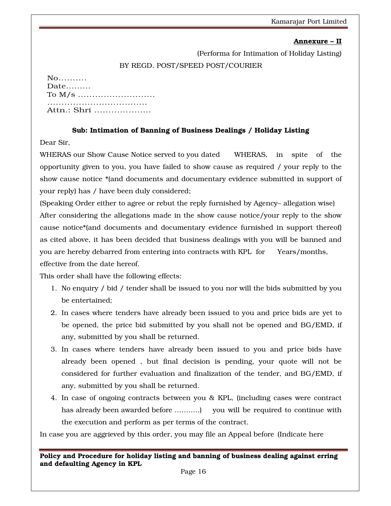### Annexure – II

(Performa for Intimation of Holiday Listing)

#### BY REGD. POST/SPEED POST/COURIER

| $No$        |
|-------------|
| Date        |
|             |
|             |
| Attn.: Shri |

## Sub: Intimation of Banning of Business Dealings / Holiday Listing

Dear Sir,

WHERAS our Show Cause Notice served to you dated WHERAS, in spite of the opportunity given to you, you have failed to show cause as required / your reply to the show cause notice \*(and documents and documentary evidence submitted in support of your reply) has / have been duly considered;

(Speaking Order either to agree or rebut the reply furnished by Agency– allegation wise) After considering the allegations made in the show cause notice/your reply to the show cause notice\*(and documents and documentary evidence furnished in support thereof) as cited above, it has been decided that business dealings with you will be banned and you are hereby debarred from entering into contracts with KPL for Years/months, effective from the date hereof.

This order shall have the following effects:

- 1. No enquiry / bid / tender shall be issued to you nor will the bids submitted by you be entertained;
- 2. In cases where tenders have already been issued to you and price bids are yet to be opened, the price bid submitted by you shall not be opened and BG/EMD, if any, submitted by you shall be returned.
- 3. In cases where tenders have already been issued to you and price bids have already been opened , but final decision is pending, your quote will not be considered for further evaluation and finalization of the tender, and BG/EMD, if any, submitted by you shall be returned.
- 4. In case of ongoing contracts between you & KPL, (including cases were contract has already been awarded before ………..) you will be required to continue with the execution and perform as per terms of the contract.

In case you are aggrieved by this order, you may file an Appeal before (Indicate here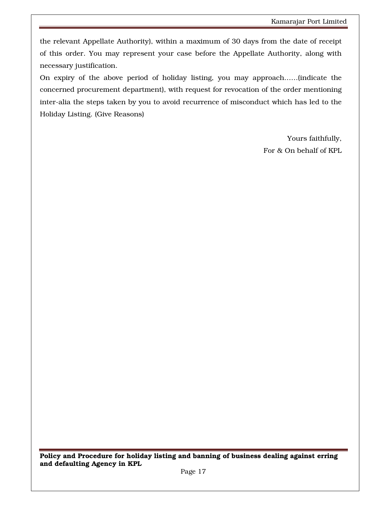the relevant Appellate Authority), within a maximum of 30 days from the date of receipt of this order. You may represent your case before the Appellate Authority, along with necessary justification.

On expiry of the above period of holiday listing, you may approach……(indicate the concerned procurement department), with request for revocation of the order mentioning inter-alia the steps taken by you to avoid recurrence of misconduct which has led to the Holiday Listing. (Give Reasons)

> Yours faithfully, For & On behalf of KPL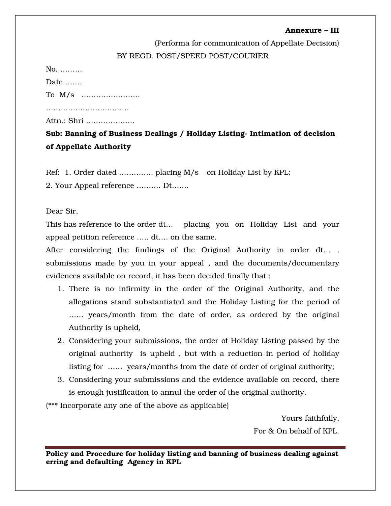## Annexure – III

(Performa for communication of Appellate Decision) BY REGD. POST/SPEED POST/COURIER

No. ………

Date ….…

To M/s ……………………

………………………………………

Attn.: Shri ………………..

Sub: Banning of Business Dealings / Holiday Listing- Intimation of decision of Appellate Authority

Ref: 1. Order dated ………….. placing M/s on Holiday List by KPL;

2. Your Appeal reference ………. Dt…….

Dear Sir,

This has reference to the order dt… placing you on Holiday List and your appeal petition reference ….. dt…. on the same.

After considering the findings of the Original Authority in order dt… , submissions made by you in your appeal , and the documents/documentary evidences available on record, it has been decided finally that :

- 1. There is no infirmity in the order of the Original Authority, and the allegations stand substantiated and the Holiday Listing for the period of …… years/month from the date of order, as ordered by the original Authority is upheld,
- 2. Considering your submissions, the order of Holiday Listing passed by the original authority is upheld , but with a reduction in period of holiday listing for …… years/months from the date of order of original authority;
- 3. Considering your submissions and the evidence available on record, there is enough justification to annul the order of the original authority.

(\*\*\* Incorporate any one of the above as applicable)

Yours faithfully, For & On behalf of KPL.